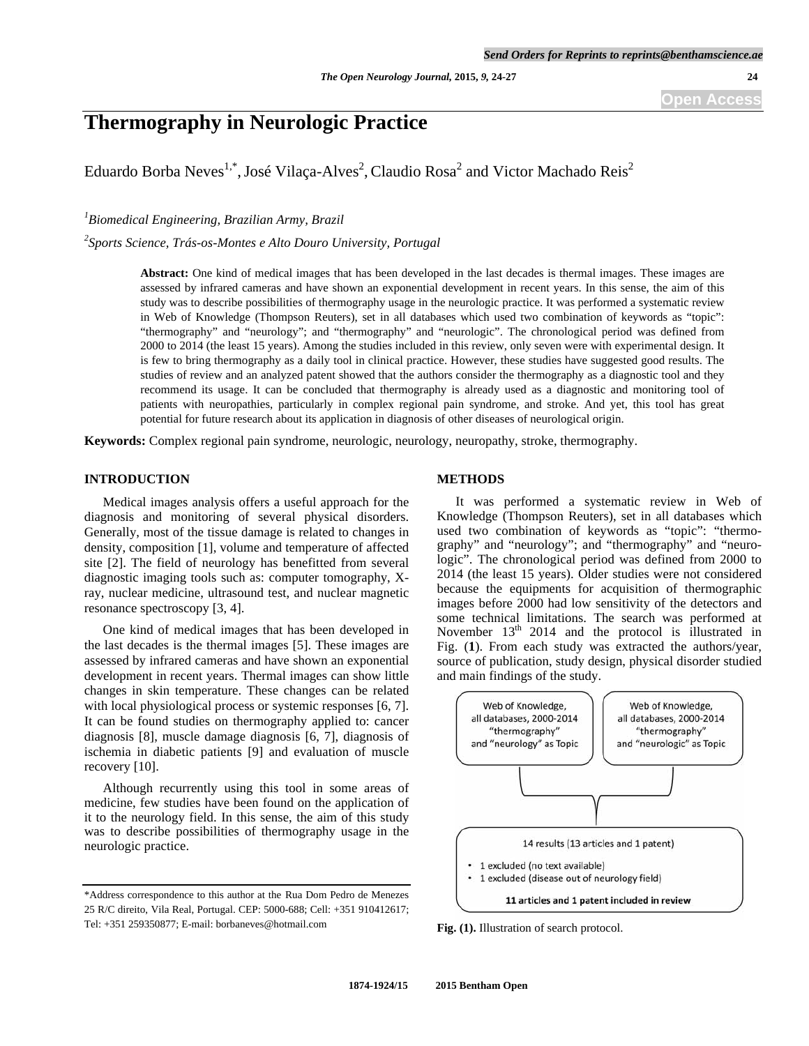# **Thermography in Neurologic Practice**

Eduardo Borba Neves<sup>1,\*</sup>, José Vilaça-Alves<sup>2</sup>, Claudio Rosa<sup>2</sup> and Victor Machado Reis<sup>2</sup>

*1 Biomedical Engineering, Brazilian Army, Brazil* 

*2 Sports Science, Trás-os-Montes e Alto Douro University, Portugal* 

**Abstract:** One kind of medical images that has been developed in the last decades is thermal images. These images are assessed by infrared cameras and have shown an exponential development in recent years. In this sense, the aim of this study was to describe possibilities of thermography usage in the neurologic practice. It was performed a systematic review in Web of Knowledge (Thompson Reuters), set in all databases which used two combination of keywords as "topic": "thermography" and "neurology"; and "thermography" and "neurologic". The chronological period was defined from 2000 to 2014 (the least 15 years). Among the studies included in this review, only seven were with experimental design. It is few to bring thermography as a daily tool in clinical practice. However, these studies have suggested good results. The studies of review and an analyzed patent showed that the authors consider the thermography as a diagnostic tool and they recommend its usage. It can be concluded that thermography is already used as a diagnostic and monitoring tool of patients with neuropathies, particularly in complex regional pain syndrome, and stroke. And yet, this tool has great potential for future research about its application in diagnosis of other diseases of neurological origin.

**Keywords:** Complex regional pain syndrome, neurologic, neurology, neuropathy, stroke, thermography.

## **INTRODUCTION**

 Medical images analysis offers a useful approach for the diagnosis and monitoring of several physical disorders. Generally, most of the tissue damage is related to changes in density, composition [1], volume and temperature of affected site [2]. The field of neurology has benefitted from several diagnostic imaging tools such as: computer tomography, Xray, nuclear medicine, ultrasound test, and nuclear magnetic resonance spectroscopy [3, 4].

 One kind of medical images that has been developed in the last decades is the thermal images [5]. These images are assessed by infrared cameras and have shown an exponential development in recent years. Thermal images can show little changes in skin temperature. These changes can be related with local physiological process or systemic responses [6, 7]. It can be found studies on thermography applied to: cancer diagnosis [8], muscle damage diagnosis [6, 7], diagnosis of ischemia in diabetic patients [9] and evaluation of muscle recovery [10].

 Although recurrently using this tool in some areas of medicine, few studies have been found on the application of it to the neurology field. In this sense, the aim of this study was to describe possibilities of thermography usage in the neurologic practice.

#### **METHODS**

 It was performed a systematic review in Web of Knowledge (Thompson Reuters), set in all databases which used two combination of keywords as "topic": "thermography" and "neurology"; and "thermography" and "neurologic". The chronological period was defined from 2000 to 2014 (the least 15 years). Older studies were not considered because the equipments for acquisition of thermographic images before 2000 had low sensitivity of the detectors and some technical limitations. The search was performed at November  $13<sup>th</sup>$  2014 and the protocol is illustrated in Fig. (**1**). From each study was extracted the authors/year, source of publication, study design, physical disorder studied and main findings of the study.



**Fig. (1).** Illustration of search protocol.

<sup>\*</sup>Address correspondence to this author at the Rua Dom Pedro de Menezes 25 R/C direito, Vila Real, Portugal. CEP: 5000-688; Cell: +351 910412617; Tel: +351 259350877; E-mail: borbaneves@hotmail.com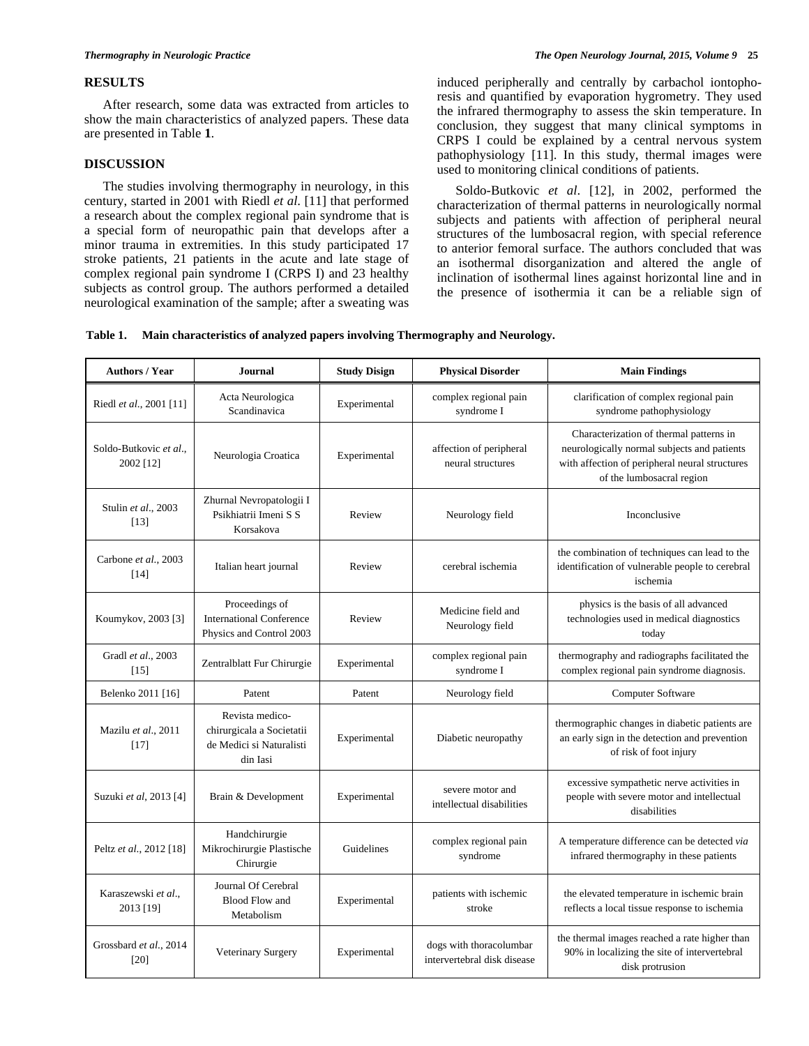### **RESULTS**

 After research, some data was extracted from articles to show the main characteristics of analyzed papers. These data are presented in Table **1**.

## **DISCUSSION**

 The studies involving thermography in neurology, in this century, started in 2001 with Riedl *et al*. [11] that performed a research about the complex regional pain syndrome that is a special form of neuropathic pain that develops after a minor trauma in extremities. In this study participated 17 stroke patients, 21 patients in the acute and late stage of complex regional pain syndrome I (CRPS I) and 23 healthy subjects as control group. The authors performed a detailed neurological examination of the sample; after a sweating was

induced peripherally and centrally by carbachol iontophoresis and quantified by evaporation hygrometry. They used the infrared thermography to assess the skin temperature. In conclusion, they suggest that many clinical symptoms in CRPS I could be explained by a central nervous system pathophysiology [11]. In this study, thermal images were used to monitoring clinical conditions of patients.

 Soldo-Butkovic *et al*. [12], in 2002, performed the characterization of thermal patterns in neurologically normal subjects and patients with affection of peripheral neural structures of the lumbosacral region, with special reference to anterior femoral surface. The authors concluded that was an isothermal disorganization and altered the angle of inclination of isothermal lines against horizontal line and in the presence of isothermia it can be a reliable sign of

| Table 1. Main characteristics of analyzed papers involving Thermography and Neurology. |  |  |  |
|----------------------------------------------------------------------------------------|--|--|--|
|----------------------------------------------------------------------------------------|--|--|--|

| <b>Authors / Year</b>               | Journal                                                                              | <b>Study Disign</b> | <b>Physical Disorder</b>                               | <b>Main Findings</b>                                                                                                                                                  |
|-------------------------------------|--------------------------------------------------------------------------------------|---------------------|--------------------------------------------------------|-----------------------------------------------------------------------------------------------------------------------------------------------------------------------|
| Riedl et al., 2001 [11]             | Acta Neurologica<br>Scandinavica                                                     | Experimental        | complex regional pain<br>syndrome I                    | clarification of complex regional pain<br>syndrome pathophysiology                                                                                                    |
| Soldo-Butkovic et al.,<br>2002 [12] | Neurologia Croatica                                                                  | Experimental        | affection of peripheral<br>neural structures           | Characterization of thermal patterns in<br>neurologically normal subjects and patients<br>with affection of peripheral neural structures<br>of the lumbosacral region |
| Stulin et al., 2003<br>$[13]$       | Zhurnal Nevropatologii I<br>Psikhiatrii Imeni S S<br>Korsakova                       | Review              | Neurology field                                        | Inconclusive                                                                                                                                                          |
| Carbone et al., 2003<br>[14]        | Italian heart journal                                                                | Review              | cerebral ischemia                                      | the combination of techniques can lead to the<br>identification of vulnerable people to cerebral<br>ischemia                                                          |
| Koumykov, 2003 [3]                  | Proceedings of<br><b>International Conference</b><br>Physics and Control 2003        | Review              | Medicine field and<br>Neurology field                  | physics is the basis of all advanced<br>technologies used in medical diagnostics<br>today                                                                             |
| Gradl et al., 2003<br>$[15]$        | Zentralblatt Fur Chirurgie                                                           | Experimental        | complex regional pain<br>syndrome I                    | thermography and radiographs facilitated the<br>complex regional pain syndrome diagnosis.                                                                             |
| Belenko 2011 [16]                   | Patent                                                                               | Patent              | Neurology field                                        | Computer Software                                                                                                                                                     |
| Mazilu et al., 2011<br>[17]         | Revista medico-<br>chirurgicala a Societatii<br>de Medici si Naturalisti<br>din Iasi | Experimental        | Diabetic neuropathy                                    | thermographic changes in diabetic patients are<br>an early sign in the detection and prevention<br>of risk of foot injury                                             |
| Suzuki et al, 2013 [4]              | Brain & Development                                                                  | Experimental        | severe motor and<br>intellectual disabilities          | excessive sympathetic nerve activities in<br>people with severe motor and intellectual<br>disabilities                                                                |
| Peltz et al., 2012 [18]             | Handchirurgie<br>Mikrochirurgie Plastische<br>Chirurgie                              | Guidelines          | complex regional pain<br>syndrome                      | A temperature difference can be detected via<br>infrared thermography in these patients                                                                               |
| Karaszewski et al.,<br>2013 [19]    | Journal Of Cerebral<br><b>Blood Flow and</b><br>Metabolism                           | Experimental        | patients with ischemic<br>stroke                       | the elevated temperature in ischemic brain<br>reflects a local tissue response to ischemia                                                                            |
| Grossbard et al., 2014<br>[20]      | Veterinary Surgery                                                                   | Experimental        | dogs with thoracolumbar<br>intervertebral disk disease | the thermal images reached a rate higher than<br>90% in localizing the site of intervertebral<br>disk protrusion                                                      |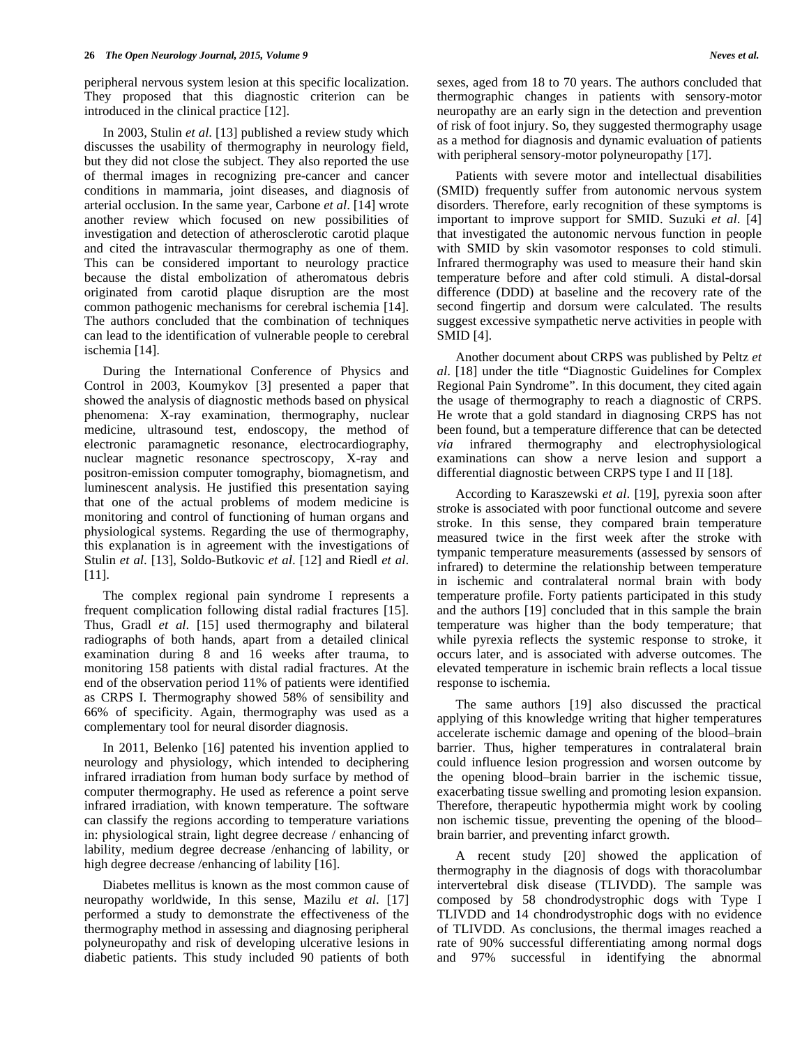peripheral nervous system lesion at this specific localization. They proposed that this diagnostic criterion can be introduced in the clinical practice [12].

 In 2003, Stulin *et al*. [13] published a review study which discusses the usability of thermography in neurology field, but they did not close the subject. They also reported the use of thermal images in recognizing pre-cancer and cancer conditions in mammaria, joint diseases, and diagnosis of arterial occlusion. In the same year, Carbone *et al*. [14] wrote another review which focused on new possibilities of investigation and detection of atherosclerotic carotid plaque and cited the intravascular thermography as one of them. This can be considered important to neurology practice because the distal embolization of atheromatous debris originated from carotid plaque disruption are the most common pathogenic mechanisms for cerebral ischemia [14]. The authors concluded that the combination of techniques can lead to the identification of vulnerable people to cerebral ischemia [14].

 During the International Conference of Physics and Control in 2003, Koumykov [3] presented a paper that showed the analysis of diagnostic methods based on physical phenomena: X-ray examination, thermography, nuclear medicine, ultrasound test, endoscopy, the method of electronic paramagnetic resonance, electrocardiography, nuclear magnetic resonance spectroscopy, X-ray and positron-emission computer tomography, biomagnetism, and luminescent analysis. He justified this presentation saying that one of the actual problems of modem medicine is monitoring and control of functioning of human organs and physiological systems. Regarding the use of thermography, this explanation is in agreement with the investigations of Stulin *et al*. [13], Soldo-Butkovic *et al*. [12] and Riedl *et al*. [11].

 The complex regional pain syndrome I represents a frequent complication following distal radial fractures [15]. Thus, Gradl *et al*. [15] used thermography and bilateral radiographs of both hands, apart from a detailed clinical examination during 8 and 16 weeks after trauma, to monitoring 158 patients with distal radial fractures. At the end of the observation period 11% of patients were identified as CRPS I. Thermography showed 58% of sensibility and 66% of specificity. Again, thermography was used as a complementary tool for neural disorder diagnosis.

 In 2011, Belenko [16] patented his invention applied to neurology and physiology, which intended to deciphering infrared irradiation from human body surface by method of computer thermography. He used as reference a point serve infrared irradiation, with known temperature. The software can classify the regions according to temperature variations in: physiological strain, light degree decrease / enhancing of lability, medium degree decrease /enhancing of lability, or high degree decrease /enhancing of lability [16].

 Diabetes mellitus is known as the most common cause of neuropathy worldwide, In this sense, Mazilu *et al*. [17] performed a study to demonstrate the effectiveness of the thermography method in assessing and diagnosing peripheral polyneuropathy and risk of developing ulcerative lesions in diabetic patients. This study included 90 patients of both

sexes, aged from 18 to 70 years. The authors concluded that thermographic changes in patients with sensory-motor neuropathy are an early sign in the detection and prevention of risk of foot injury. So, they suggested thermography usage as a method for diagnosis and dynamic evaluation of patients with peripheral sensory-motor polyneuropathy [17].

 Patients with severe motor and intellectual disabilities (SMID) frequently suffer from autonomic nervous system disorders. Therefore, early recognition of these symptoms is important to improve support for SMID. Suzuki *et al*. [4] that investigated the autonomic nervous function in people with SMID by skin vasomotor responses to cold stimuli. Infrared thermography was used to measure their hand skin temperature before and after cold stimuli. A distal-dorsal difference (DDD) at baseline and the recovery rate of the second fingertip and dorsum were calculated. The results suggest excessive sympathetic nerve activities in people with SMID [4].

 Another document about CRPS was published by Peltz *et al*. [18] under the title "Diagnostic Guidelines for Complex Regional Pain Syndrome". In this document, they cited again the usage of thermography to reach a diagnostic of CRPS. He wrote that a gold standard in diagnosing CRPS has not been found, but a temperature difference that can be detected *via* infrared thermography and electrophysiological examinations can show a nerve lesion and support a differential diagnostic between CRPS type I and II [18].

 According to Karaszewski *et al*. [19], pyrexia soon after stroke is associated with poor functional outcome and severe stroke. In this sense, they compared brain temperature measured twice in the first week after the stroke with tympanic temperature measurements (assessed by sensors of infrared) to determine the relationship between temperature in ischemic and contralateral normal brain with body temperature profile. Forty patients participated in this study and the authors [19] concluded that in this sample the brain temperature was higher than the body temperature; that while pyrexia reflects the systemic response to stroke, it occurs later, and is associated with adverse outcomes. The elevated temperature in ischemic brain reflects a local tissue response to ischemia.

 The same authors [19] also discussed the practical applying of this knowledge writing that higher temperatures accelerate ischemic damage and opening of the blood–brain barrier. Thus, higher temperatures in contralateral brain could influence lesion progression and worsen outcome by the opening blood–brain barrier in the ischemic tissue, exacerbating tissue swelling and promoting lesion expansion. Therefore, therapeutic hypothermia might work by cooling non ischemic tissue, preventing the opening of the blood– brain barrier, and preventing infarct growth.

 A recent study [20] showed the application of thermography in the diagnosis of dogs with thoracolumbar intervertebral disk disease (TLIVDD). The sample was composed by 58 chondrodystrophic dogs with Type I TLIVDD and 14 chondrodystrophic dogs with no evidence of TLIVDD. As conclusions, the thermal images reached a rate of 90% successful differentiating among normal dogs and 97% successful in identifying the abnormal